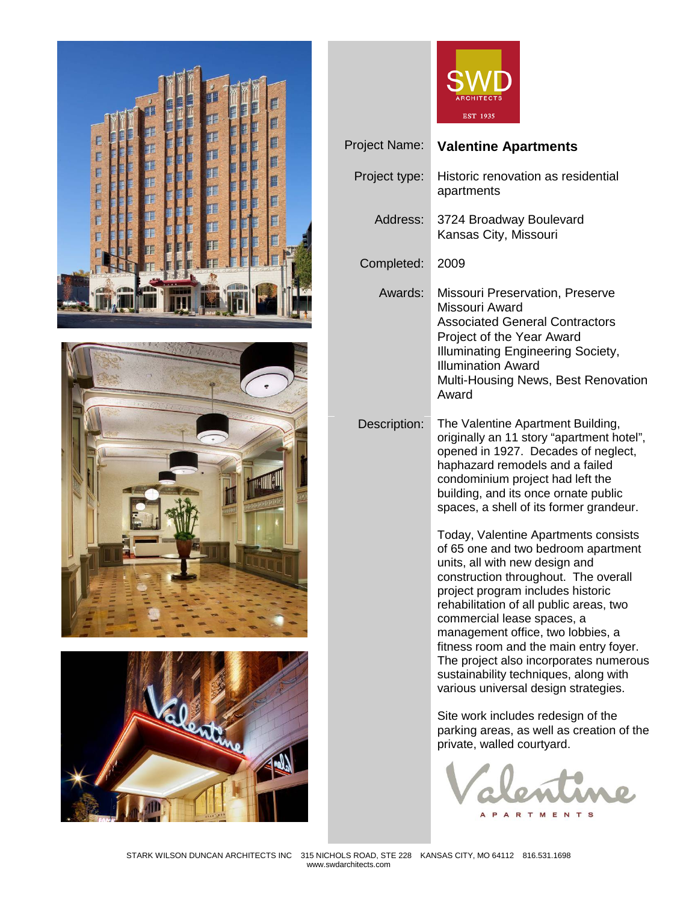







| Project Name: | <b>Valentine Apartments</b>                                                                                                                                                                                                                                                                                                                                                                                                                                                   |
|---------------|-------------------------------------------------------------------------------------------------------------------------------------------------------------------------------------------------------------------------------------------------------------------------------------------------------------------------------------------------------------------------------------------------------------------------------------------------------------------------------|
| Project type: | Historic renovation as residential<br>apartments                                                                                                                                                                                                                                                                                                                                                                                                                              |
| Address:      | 3724 Broadway Boulevard<br>Kansas City, Missouri                                                                                                                                                                                                                                                                                                                                                                                                                              |
| Completed:    | 2009                                                                                                                                                                                                                                                                                                                                                                                                                                                                          |
| Awards:       | Missouri Preservation, Preserve<br>Missouri Award<br><b>Associated General Contractors</b><br>Project of the Year Award<br><b>Illuminating Engineering Society,</b><br><b>Illumination Award</b><br>Multi-Housing News, Best Renovation<br>Award                                                                                                                                                                                                                              |
| Description:  | The Valentine Apartment Building,<br>originally an 11 story "apartment hotel",<br>opened in 1927. Decades of neglect,<br>haphazard remodels and a failed<br>condominium project had left the<br>building, and its once ornate public<br>spaces, a shell of its former grandeur.                                                                                                                                                                                               |
|               | Today, Valentine Apartments consists<br>of 65 one and two bedroom apartment<br>units, all with new design and<br>construction throughout. The overall<br>project program includes historic<br>rehabilitation of all public areas, two<br>commercial lease spaces, a<br>management office, two lobbies, a<br>fitness room and the main entry foyer.<br>The project also incorporates numerous<br>sustainability techniques, along with<br>various universal design strategies. |
|               | Site work includes redesign of the<br>parking areas, as well as creation of the<br>private, walled courtyard.                                                                                                                                                                                                                                                                                                                                                                 |

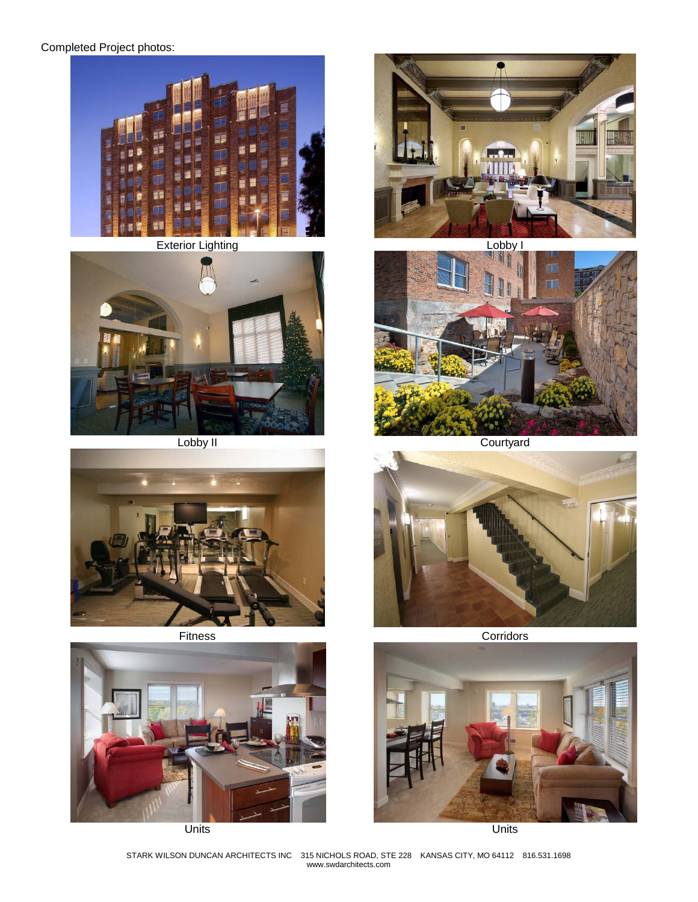## Completed Project photos:















Lobby II Courtyard



Fitness **Corridors** 



Units Units

STARK WILSON DUNCAN ARCHITECTS INC 315 NICHOLS ROAD, STE 228 KANSAS CITY, MO 64112 816.531.1698 www.swdarchitects.com